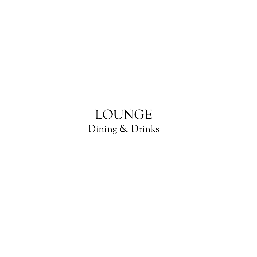# LOUNGE Dining & Drinks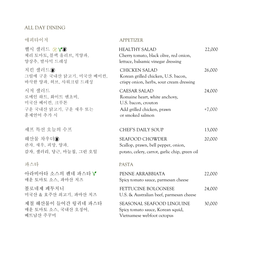#### ALL DAY DINING

#### 애피타이저 APPETIZER

헬시 샐러드  $\mathcal{R}$  $\mathsf{V}$   $\mathsf{C}$ 체리 토마토, 블랙 올리브, 적양파, 양상추, 발사믹 드레싱

치킨 샐러드 그릴에 구운 국내산 닭고기, 미국산 베이컨, 바삭한 양파, 허브, 사워크림 드레싱

시저 샐러드 로메인 하트, 화이트 엔초비, 미국산 베이컨, 크루톤 구운 국내산 닭고기, 구운 새우 또는 훈제연어 추가 시

셰프 특선 오늘의 수프

해산물 차우더 6 과자, 새우, 피망, 양파, 감자, 샐러리, 당근, 마늘칩, 그린 오일

#### 파스타

아라비아타 소스의 펜네 파스타 V 매운 토마토 소스, 파마산 치즈 볼로네제 페투치니 미국산 & 호주산 쇠고기, 파마산 치즈

제철 해산물이 들어간 링귀네 파스타 매운 토마토 소스, 국내산 오징어, 베트남사 주꾸미

| <b>HEALTHY SALAD</b><br>Cherry tomato, black olive, red onion,<br>lettuce, balsamic vinegar dressing            | 22,000   |
|-----------------------------------------------------------------------------------------------------------------|----------|
| <b>CHICKEN SALAD</b><br>Korean grilled chicken, U.S. bacon,<br>crispy onion, herbs, sour cream dressing         | 26,000   |
| CAESAR SALAD<br>Romaine heart, white anchovy,<br>U.S. bacon, crouton                                            | 24,000   |
| Add grilled chicken, prawn<br>or smoked salmon                                                                  | $+7,000$ |
| CHEF'S DAILY SOUP                                                                                               | 13,000   |
| <b>SEAFOOD CHOWDER</b><br>Scallop, prawn, bell pepper, onion,<br>potato, celery, carrot, garlic chip, green oil | 20,000   |
| <b>PASTA</b>                                                                                                    |          |
| PENNE ARRABBIATA<br>Spicy tomato sauce, parmesan cheese                                                         | 22,000   |
| <b>FETTUCINE BOLOGNESE</b><br>U.S. & Australian beef, parmesan cheese                                           | 24,000   |
| SEASONAL SEAFOOD LINGUINE<br>Spicy tomato sauce, Korean squid,<br>Vietnamese webfoot octopus                    | 30,000   |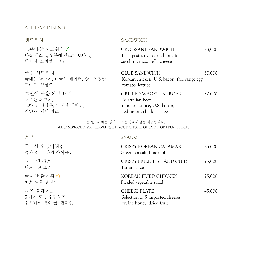# ALL DAY DINING

# 샌드위치 SANDWICH

| 크루아상 샌드위치Ⅴ<br>바질 페스토, 오븐에 건조한 토마토,<br>주키니, 모차렐라 치즈           | CROISSANT SANDWICH<br>Basil pesto, oven dried tomato,<br>zucchini, mozzarella cheese                  | 23,000 |
|--------------------------------------------------------------|-------------------------------------------------------------------------------------------------------|--------|
| 클럽 샌드위치<br>국내산 닭고기, 미국산 베이컨, 방사유정란,<br>토마토, 양상추              | CLUB SANDWICH<br>Korean chicken, U.S. bacon, free range egg,<br>tomato, lettuce                       | 30,000 |
| 그릴에 구운 와규 버거<br>호주산 쇠고기.<br>토마토, 양상추, 미국산 베이컨,<br>적양파, 체더 치즈 | GRILLED WAGYU BURGER<br>Australian beef,<br>tomato, lettuce, U.S. bacon,<br>red onion, cheddar cheese | 32,000 |

모든 샌드위치는 샐러드 또는 감자튀김을 제공합니다. ALL SANDWICHES ARE SERVED WITH YOUR CHOICE OF SALAD OR FRENCH FRIES.

| 스낵                                         | <b>SNACKS</b>                                                                         |        |
|--------------------------------------------|---------------------------------------------------------------------------------------|--------|
| 국내산 오징어튀김<br>녹차 소금, 라임 아이올리                | CRISPY KOREAN CALAMARI<br>Green tea salt, lime aioli                                  | 25,000 |
| 피시 앤 칩스<br>타르타르 소스                         | CRISPY FRIED FISH AND CHIPS<br>Tartar sauce                                           | 25,000 |
| 국내산 닭튀김 ☆<br>채소 피클 샐러드                     | KOREAN FRIED CHICKEN<br>Pickled vegetable salad                                       | 25,000 |
| 치즈 플레이트<br>5 가지 모둠 수입치즈,<br>송로버섯 향의 꿀, 건과일 | <b>CHEESE PLATE</b><br>Selection of 5 imported cheeses,<br>truffle honey, dried fruit | 45,000 |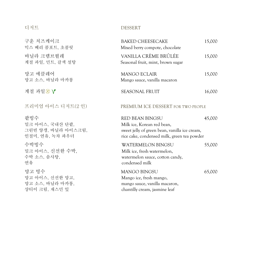구운 치즈케이크 믹스 베리 콤포트, 초콜릿 바닐라 크렊브륄레 계절 과일, 민트, 갈색 설탕 망고 에클레어 망고 소스, 바닐라 마카롱 계절 과일 & V 프리미엄 아이스 디저트(2 인) 팥빙수 RED BEAN BINGSU 45,000 밀크 아이스, 국내산 단팥, 그린빈 양갱, 바닐라 아이스크림, 인절미, 연유, 녹차 파우더 수박빙수 WATERMELON BINGSU 55,000 밀크 아이스, 신선한 수박, 수박 소스, 솜사탕, 연유 The Condensed milk 망고 빙수 MANGO BINGSU 65,000 망고 아이스, 신선한 망고, 망고 소스, 바닐라 마카롱, mango sauce, vanilla macaron, 샹티이 크림, 재스민 잎 chantilly cream, jasmine leaf

### 디저트 DESSERT

| BAKED CHEESECAKE<br>Mixed berry compote, chocolate                                                                                                   | 15,000 |
|------------------------------------------------------------------------------------------------------------------------------------------------------|--------|
| VANILLA CRÈME BRÛLÉE<br>Seasonal fruit, mint, brown sugar                                                                                            | 15,000 |
| <b>MANGO ECLAIR</b><br>Mango sauce, vanilla macaron                                                                                                  | 15,000 |
| <b>SEASONAL FRUIT</b>                                                                                                                                | 16,000 |
| PREMIUM ICE DESSERT FOR TWO PEOPLE                                                                                                                   |        |
| <b>RED BEAN BINGSU</b><br>Milk ice, Korean red bean,<br>sweet jelly of green bean, vanilla ice cream,<br>rice cake, condensed milk, green tea powder | 45,000 |
| <b>WATERMELON BINGSU</b><br>Milk ice, fresh watermelon,<br>watermelon sauce, cotton candy,<br>condensed milk                                         | 55,000 |
| <b>MANGO BINGSU</b><br>Mango ice, fresh mango,                                                                                                       | 65,000 |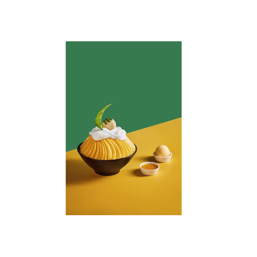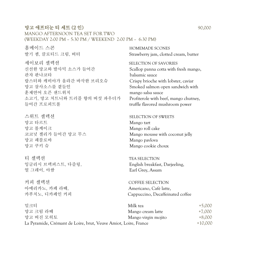# 망고 애프터눈 티 세트 (2 인) 90,000

MANGO AFTERNOON TEA SET FOR TWO (WEEKDAY 2:00 PM – 5:30 PM / WEEKEND 2:00 PM – 6:30 PM)

홈메이드 스콘 HOMEMADE SCONES

세이보리 셀렉션 SELECTION OF SAVORIES 신선한 망고와 발사믹 소스가 들어간 Scallop panna cotta with fresh mango, 관자 판나코타 balsamic sauce 랍스터와 캐비아가 올라간 바삭한 브리오슈 Crispy brioche with lobster, caviar 망고 살사소스를 곁들인 Smoked salmon open sandwich with 훈제연어 오픈 샌드위치 mango salsa sauce 소고기, 망고 처트니와 트러플 향의 버섯 파우더가 Profiterole with beef, mango chutney, 들어간 프로피트롤 truffle flavored mushroom power

스위트 셀렉션 SELECTION OF SWEETS 망고 타르트 Mango tart 망고 롤케이크 Mango roll cake 망고 패블로바 Mango pavlova 망고 쿠키 슈 Mango cookie choux

티 셀렉션 TEA SELECTION 잉글리시 브렉퍼스트, 다즐링, English breakfast, Darjeeling, 얼 그레이, 아쌈 Earl Grey, Assam

커피 셀렉션 COFFEE SELECTION 아메리카노, 카페 라떼, Americano, Café latte,

딸기 잼, 클로티드 크림, 버터 Strawberry jam, clotted cream, butter

코코넛 젤리가 들어간 망고 무스 Mango mousse with coconut jelly

카푸치노, 디카페인 커피 Cappuccino, Decaffeinated coffee

| 밀크티                                                             | Milk tea            | $+5,000$ |
|-----------------------------------------------------------------|---------------------|----------|
| 망고 크림 라떼                                                        | Mango cream latte   | $+7.000$ |
| 망고 버진 모히토                                                       | Mango virgin mojito | $+8,000$ |
| La Pyramide, Crémant de Loire, brut, Veuve Amiot, Loire, France | $+10,000$           |          |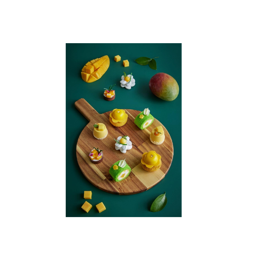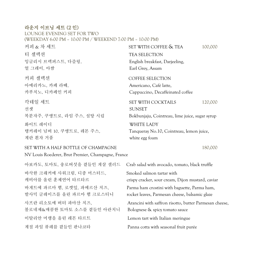### 라운지 이브닝 세트 (2 인)

LOUNGE EVENING SET FOR TWO (WEEKDAY 6:00 PM – 10:00 PM / WEEKEND 7:00 PM – 10:00 PM) 커피 & 차 세트 200.000 SET WITH COFFEE & TEA 200.000 티 셀렉션 TEA SELECTION 잉글리시 브렉퍼스트, 다즐링, English breakfast, Darjeeling, 얼 그레이, 아쌈 Earl Grey, Assam 커피 셀렉션 COFFEE SELECTION 아메리카노, 카페 라떼, Americano, Café latte, 카푸치노, 디카페인 커피 Cappuccino, Decaffeinated coffee 칵테일 세트 SET WITH COCKTAILS 120,000 선셋 SUNSET 복분자주, 쿠앵트로, 라임 주스, 설탕 시럽 Bokbunjaju, Cointreau, lime juice, sugar syrup 화이트 레이디 WHITE LADY 탱커레이 넘버 10, 쿠앵트로, 레몬 주스, Tanqueray No.10, Cointreau, lemon juice, 계란 흰자 거품 white egg foam

### SET WITH A HALF BOTTLE OF CHAMPAGNE 180,000

NV Louis Roederer, Brut Premier, Champagne, France

| 아보카도, 토마토, 송로버섯을 곁들인 게살 샐러드 | Crab salad with avocado, tomato, black truffle         |
|-----------------------------|--------------------------------------------------------|
| 바삭한 크래커에 사워크림, 디종 머스터드,     | Smoked salmon tartar with                              |
| 캐비아를 올린 훈제연어 타르타르           | crispy cracker, sour cream, Dijon mustard, caviar      |
| 바게트에 파르마 햄, 로켓잎, 파메르산 치즈,   | Parma ham crostini with baguette, Parma ham,           |
| 발사믹 글레이즈를 올린 파르마 햄 크로스티니    | rocket leaves, Parmesan cheese, balsamic glaze         |
| 사프란 리소토에 버터 파마산 치즈.         | Arancini with saffron risotto, butter Parmesan cheese, |
| 볼로네제&매콤한 토마토 소스를 곁들인 아란치니   | Bolognese & spicy tomato sauce                         |
| 이탈리안 머랭을 올린 레몬 타르트          | Lemon tart with Italian meringue                       |
| 계절 과일 퓨레를 곁들인 판나코타          | Panna cotta with seasonal fruit purée                  |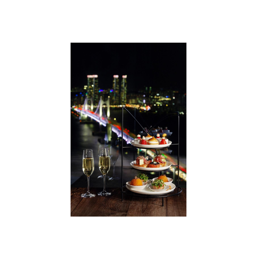